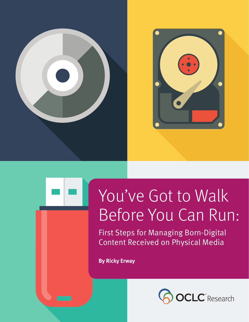



# You've Got to Walk Before You Can Run:

First Steps for Managing Born-Digital Content Received on Physical Media

**By Ricky Erway**

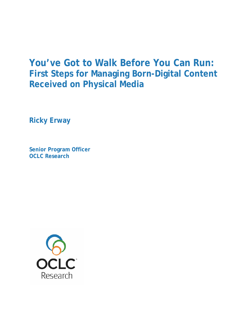## **You've Got to Walk Before You Can Run: First Steps for Managing Born-Digital Content Received on Physical Media**

**Ricky Erway** 

**Senior Program Officer OCLC Research** 

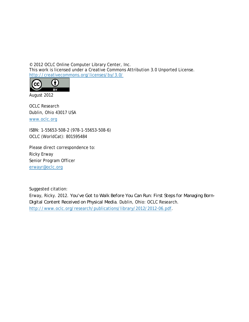© 2012 OCLC Online Computer Library Center, Inc. This work is licensed under a Creative Commons Attribution 3.0 Unported License. http://creativecommons.org/licenses/by/3.0/



August 2012

OCLC Research Dublin, Ohio 43017 USA

www.oclc.org

ISBN: 1-55653-508-2 (978-1-55653-508-6) OCLC (WorldCat): 801595484

Please direct correspondence to: Ricky Erway Senior Program Officer erwayr@oclc.org

Suggested citation:

Erway, Ricky. 2012. *You've Got to Walk Before You Can Run: First Steps for Managing Born-Digital Content Received on Physical Media*. Dublin, Ohio: OCLC Research. http://www.oclc.org/research/publications/library/2012/2012-06.pdf.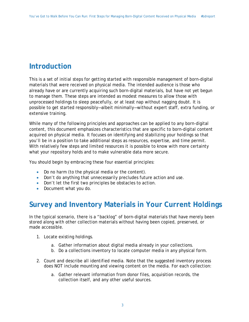### **Introduction**

This is a set of initial steps for getting started with responsible management of born-digital materials that were received on physical media. The intended audience is those who already have or are currently acquiring such born-digital materials, but have not yet begun to manage them. These steps are intended as modest measures to allow those with unprocessed holdings to sleep peacefully, or at least nap without nagging doubt. It is possible to get started responsibly—albeit minimally—without expert staff, extra funding, or extensive training.

While many of the following principles and approaches can be applied to any born-digital content, this document emphasizes characteristics that are specific to born-digital content acquired on physical media. It focuses on identifying and stabilizing your holdings so that you'll be in a position to take additional steps as resources, expertise, and time permit. With relatively few steps and limited resources it is possible to know with more certainty what your repository holds and to make vulnerable data more secure.

You should begin by embracing these four essential principles:

- Do no harm (to the physical media or the content).
- Don't do anything that unnecessarily precludes future action and use.
- Don't let the first two principles be obstacles to action.
- Document what you do.

#### **Survey and Inventory Materials in Your Current Holdings**

In the typical scenario, there is a "backlog" of born-digital materials that have merely been stored along with other collection materials without having been copied, preserved, or made accessible.

- 1. Locate existing holdings.
	- a. Gather information about digital media already in your collections.
	- b. Do a collections inventory to locate computer media in any physical form.
- 2. Count and describe all identified media. Note that the suggested inventory process does NOT include mounting and viewing content on the media. For each collection:
	- a. Gather relevant information from donor files, acquisition records, the collection itself, and any other useful sources.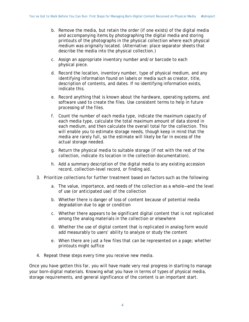- b. Remove the media, but retain the order (if one exists) of the digital media and accompanying items by photographing the digital media and storing printouts of the photographs in the physical collection where each physical medium was originally located. (Alternative: place separator sheets that describe the media into the physical collection.)
- c. Assign an appropriate inventory number and/or barcode to each physical piece.
- d. Record the location, inventory number, type of physical medium, and any identifying information found on labels or media such as creator, title, description of contents, and dates. If no identifying information exists, indicate this.
- e. Record anything that is known about the hardware, operating systems, and software used to create the files. Use consistent terms to help in future processing of the files.
- f. Count the number of each media type, indicate the maximum capacity of each media type, calculate the total maximum amount of data stored in each medium, and then calculate the overall total for the collection. This will enable you to estimate storage needs, though keep in mind that the media are rarely full, so the estimate will likely be far in excess of the actual storage needed.
- g. Return the physical media to suitable storage (if not with the rest of the collection, indicate its location in the collection documentation).
- h. Add a summary description of the digital media to any existing accession record, collection-level record, or finding aid.
- 3. Prioritize collections for further treatment based on factors such as the following:
	- a. The value, importance, and needs of the collection as a whole—and the level of use (or anticipated use) of the collection
	- b. Whether there is danger of loss of content because of potential media degradation due to age or condition
	- c. Whether there appears to be significant digital content that is not replicated among the analog materials in the collection or elsewhere
	- d. Whether the use of digital content that is replicated in analog form would add measurably to users' ability to analyze or study the content
	- e. When there are just a few files that can be represented on a page; whether printouts might suffice
- 4. Repeat these steps every time you receive new media.

Once you have gotten this far, you will have made very real progress in starting to manage your born-digital materials. Knowing what you have in terms of types of physical media, storage requirements, and general significance of the content is an important start.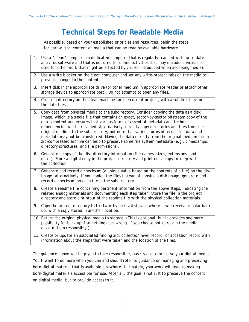### **Technical Steps for Readable Media**

As possible, based on your established priorities and resources, begin the steps for born-digital content on media that can be read by available hardware.

| 1. | Use a "clean" computer (a dedicated computer that is regularly scanned with up-to-date<br>antivirus software and that is not used for online activities that may introduce viruses or<br>used for other work that might be affected by viruses introduced when accessing media).                                                                                                                                                                                                                                                                                                                                                                                                                              |
|----|---------------------------------------------------------------------------------------------------------------------------------------------------------------------------------------------------------------------------------------------------------------------------------------------------------------------------------------------------------------------------------------------------------------------------------------------------------------------------------------------------------------------------------------------------------------------------------------------------------------------------------------------------------------------------------------------------------------|
| 2. | Use a write blocker on the clean computer and set any write-protect tabs on the media to<br>prevent changes to the content.                                                                                                                                                                                                                                                                                                                                                                                                                                                                                                                                                                                   |
| 3. | Insert disk in the appropriate drive (or other medium in appropriate reader or attach other<br>storage device to appropriate port). Do not attempt to open any files.                                                                                                                                                                                                                                                                                                                                                                                                                                                                                                                                         |
| 4. | Create a directory on the clean machine for the current project, with a subdirectory for<br>the data files.                                                                                                                                                                                                                                                                                                                                                                                                                                                                                                                                                                                                   |
| 5. | Copy data from physical media to the subdirectory. Consider copying the data as a disk<br>image, which is a single file that contains an exact, sector-by-sector bitstream copy of the<br>disk's content and ensures that various forms of essential metadata and technical<br>dependencies will be retained. Alternatively, directly copy directories and files from the<br>original medium to the subdirectory, but note that various forms of associated data and<br>metadata may not be transferred. Moving the data directly from the original medium into a<br>zip-compressed archive can help to preserve some file system metadata (e.g., timestamps,<br>directory structures, and file permissions). |
| 6. | Generate a copy of the disk directory information (file names, sizes, extensions, and<br>dates). Store a digital copy in the project directory and print out a copy to keep with<br>the collection.                                                                                                                                                                                                                                                                                                                                                                                                                                                                                                           |
| 7. | Generate and record a checksum (a unique value based on the contents of a file) on the disk<br>image. Alternatively, if you copied the files instead of copying a disk image, generate and<br>record a checksum on each file in the subdirectory.                                                                                                                                                                                                                                                                                                                                                                                                                                                             |
| 8. | Create a readme file containing pertinent information from the above steps, indicating the<br>related analog materials and documenting each step taken. Store the file in the project<br>directory and store a printout of the readme file with the physical collection materials.                                                                                                                                                                                                                                                                                                                                                                                                                            |
| 9. | Copy the project directory to trustworthy archival storage where it will receive regular back<br>up, with a copy stored in another location.                                                                                                                                                                                                                                                                                                                                                                                                                                                                                                                                                                  |
|    | 10. Return the original physical media to storage. (This is optional, but it provides one more<br>possibility for back up if something goes wrong. If you choose not to retain the media,<br>discard them responsibly.)                                                                                                                                                                                                                                                                                                                                                                                                                                                                                       |
|    | 11. Create or update an associated finding aid, collection level record, or accession record with<br>information about the steps that were taken and the location of the files.                                                                                                                                                                                                                                                                                                                                                                                                                                                                                                                               |

The guidance above will help you to take responsible, basic steps to preserve your digital media. You'll want to do more when you can and should refer to guidance on managing and preserving born-digital material that is available elsewhere. Ultimately, your work will lead to making born-digital materials accessible for use. After all, the goal is not just to preserve the content on digital media, but to provide access to it.